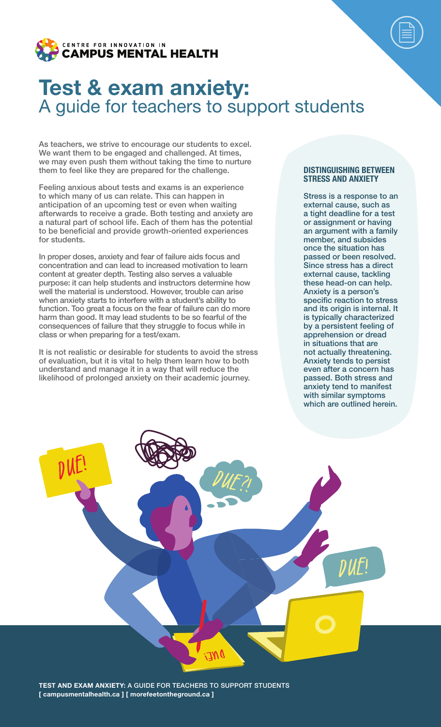

# Test & exam anxiety: A guide for teachers to support students

As teachers, we strive to encourage our students to excel. We want them to be engaged and challenged. At times, we may even push them without taking the time to nurture them to feel like they are prepared for the challenge.

Feeling anxious about tests and exams is an experience to which many of us can relate. This can happen in anticipation of an upcoming test or even when waiting afterwards to receive a grade. Both testing and anxiety are a natural part of school life. Each of them has the potential to be beneficial and provide growth-oriented experiences for students.

In proper doses, anxiety and fear of failure aids focus and concentration and can lead to increased motivation to learn content at greater depth. Testing also serves a valuable purpose: it can help students and instructors determine how well the material is understood. However, trouble can arise when anxiety starts to interfere with a student's ability to function. Too great a focus on the fear of failure can do more harm than good. It may lead students to be so fearful of the consequences of failure that they struggle to focus while in class or when preparing for a test/exam.

It is not realistic or desirable for students to avoid the stress of evaluation, but it is vital to help them learn how to both understand and manage it in a way that will reduce the likelihood of prolonged anxiety on their academic journey.

#### DISTINGUISHING BETWEEN STRESS AND ANXIETY

Stress is a response to an external cause, such as a tight deadline for a test or assignment or having an argument with a family member, and subsides once the situation has passed or been resolved. Since stress has a direct external cause, tackling these head-on can help. Anxiety is a person's specific reaction to stress and its origin is internal. It is typically characterized by a persistent feeling of apprehension or dread in situations that are not actually threatening. Anxiety tends to persist even after a concern has passed. Both stress and anxiety tend to manifest with similar symptoms which are outlined herein.

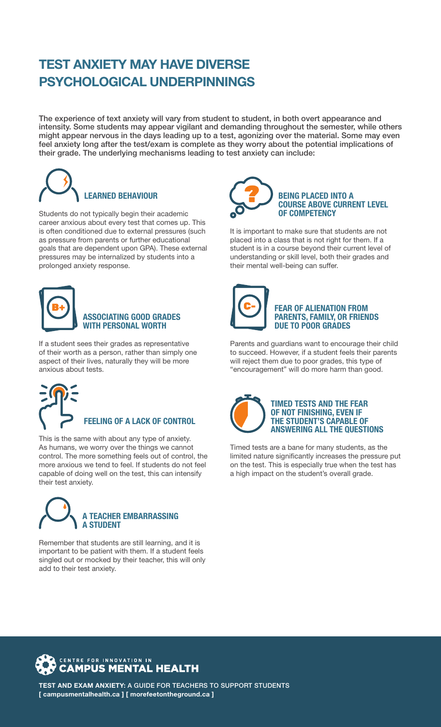## TEST ANXIETY MAY HAVE DIVERSE PSYCHOLOGICAL UNDERPINNINGS

The experience of text anxiety will vary from student to student, in both overt appearance and intensity. Some students may appear vigilant and demanding throughout the semester, while others might appear nervous in the days leading up to a test, agonizing over the material. Some may even feel anxiety long after the test/exam is complete as they worry about the potential implications of their grade. The underlying mechanisms leading to test anxiety can include:



Students do not typically begin their academic career anxious about every test that comes up. This is often conditioned due to external pressures (such as pressure from parents or further educational goals that are dependent upon GPA). These external pressures may be internalized by students into a prolonged anxiety response.



### ASSOCIATING GOOD GRADES WITH PERSONAL WORTH

If a student sees their grades as representative of their worth as a person, rather than simply one aspect of their lives, naturally they will be more anxious about tests.

FEELING OF A LACK OF CONTROL

This is the same with about any type of anxiety. As humans, we worry over the things we cannot control. The more something feels out of control, the more anxious we tend to feel. If students do not feel capable of doing well on the test, this can intensify their test anxiety.



Remember that students are still learning, and it is important to be patient with them. If a student feels singled out or mocked by their teacher, this will only add to their test anxiety.



It is important to make sure that students are not placed into a class that is not right for them. If a student is in a course beyond their current level of understanding or skill level, both their grades and their mental well-being can suffer.



#### FEAR OF ALIENATION FROM PARENTS, FAMILY, OR FRIENDS DUE TO POOR GRADES

Parents and guardians want to encourage their child to succeed. However, if a student feels their parents will reject them due to poor grades, this type of "encouragement" will do more harm than good.



Timed tests are a bane for many students, as the limited nature significantly increases the pressure put on the test. This is especially true when the test has a high impact on the student's overall grade.

### FOR INNOVATION IN **CAMPUS MENTAL HEALTH**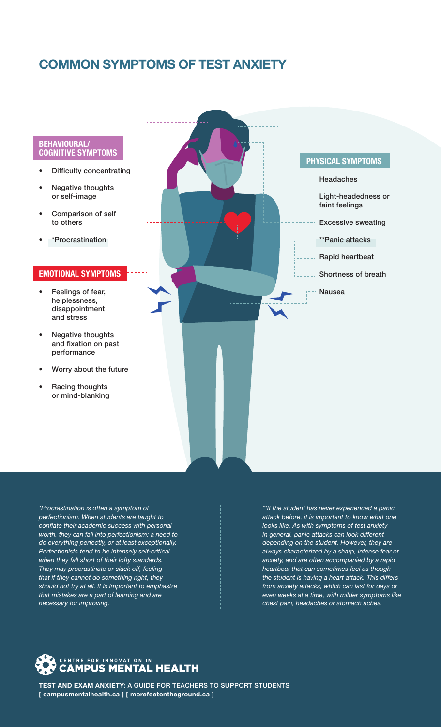## COMMON SYMPTOMS OF TEST ANXIETY

#### BEHAVIOURAL/ COGNITIVE SYMPTOMS

- Difficulty concentrating
- Negative thoughts or self-image
- Comparison of self to others
- \*Procrastination

#### EMOTIONAL SYMPTOMS

- Feelings of fear, helplessness, disappointment and stress
- Negative thoughts and fixation on past performance
- Worry about the future
- Racing thoughts or mind-blanking



*\*Procrastination is often a symptom of perfectionism. When students are taught to conflate their academic success with personal worth, they can fall into perfectionism: a need to do everything perfectly, or at least exceptionally. Perfectionists tend to be intensely self-critical when they fall short of their lofty standards. They may procrastinate or slack off, feeling that if they cannot do something right, they should not try at all. It is important to emphasize that mistakes are a part of learning and are necessary for improving.*

*\*\*If the student has never experienced a panic attack before, it is important to know what one looks like. As with symptoms of test anxiety in general, panic attacks can look different depending on the student. However, they are always characterized by a sharp, intense fear or anxiety, and are often accompanied by a rapid heartbeat that can sometimes feel as though the student is having a heart attack. This differs from anxiety attacks, which can last for days or even weeks at a time, with milder symptoms like chest pain, headaches or stomach aches.*

# CENTRE FOR INNOVATION IN **CAMPUS MENTAL HEALTH**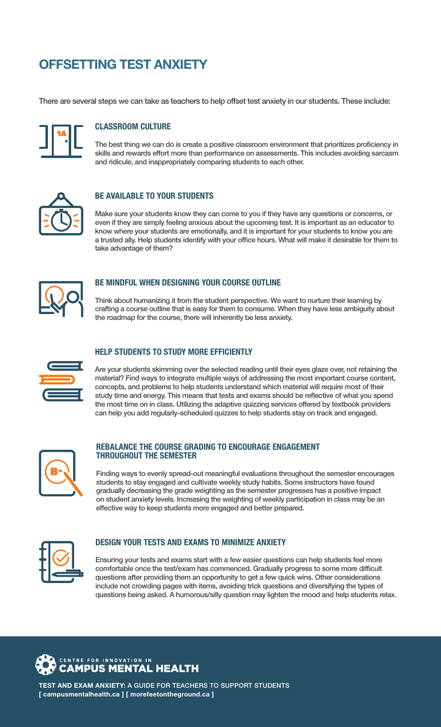## OFFSETTING TEST ANXIETY

There are several steps we can take as teachers to help offset test anxiety in our students. These include:



#### CLASSROOM CULTURE

The best thing we can do is create a positive classroom environment that prioritizes proficiency in skills and rewards effort more than performance on assessments. This includes avoiding sarcasm and ridicule, and inappropriately comparing students to each other.



### BE AVAILABLE TO YOUR STUDENTS

Make sure your students know they can come to you if they have any questions or concerns, or even if they are simply feeling anxious about the upcoming test. It is important as an educator to know where your students are emotionally, and it is important for your students to know you are a trusted ally. Help students identify with your office hours. What will make it desirable for them to take advantage of them?



#### BE MINDFUL WHEN DESIGNING YOUR COURSE OUTLINE

Think about humanizing it from the student perspective. We want to nurture their learning by crafting a course outline that is easy for them to consume. When they have less ambiguity about the roadmap for the course, there will inherently be less anxiety.



#### HELP STUDENTS TO STUDY MORE EFFICIENTLY

Are your students skimming over the selected reading until their eyes glaze over, not retaining the material? Find ways to integrate multiple ways of addressing the most important course content, concepts, and problems to help students understand which material will require most of their study time and energy. This means that tests and exams should be reflective of what you spend the most time on in class. Utilizing the adaptive quizzing services offered by textbook providers can help you add regularly-scheduled quizzes to help students stay on track and engaged.



#### REBALANCE THE COURSE GRADING TO ENCOURAGE ENGAGEMENT THROUGHOUT THE SEMESTER

Finding ways to evenly spread-out meaningful evaluations throughout the semester encourages students to stay engaged and cultivate weekly study habits. Some instructors have found gradually decreasing the grade weighting as the semester progresses has a positive impact on student anxiety levels. Increasing the weighting of weekly participation in class may be an effective way to keep students more engaged and better prepared.



#### DESIGN YOUR TESTS AND EXAMS TO MINIMIZE ANXIETY

Ensuring your tests and exams start with a few easier questions can help students feel more comfortable once the test/exam has commenced. Gradually progress to some more difficult questions after providing them an opportunity to get a few quick wins. Other considerations include not crowding pages with items, avoiding trick questions and diversifying the types of questions being asked. A humorous/silly question may lighten the mood and help students relax.

# CENTRE FOR INNOVATION IN **CAMPUS MENTAL HEALTH**